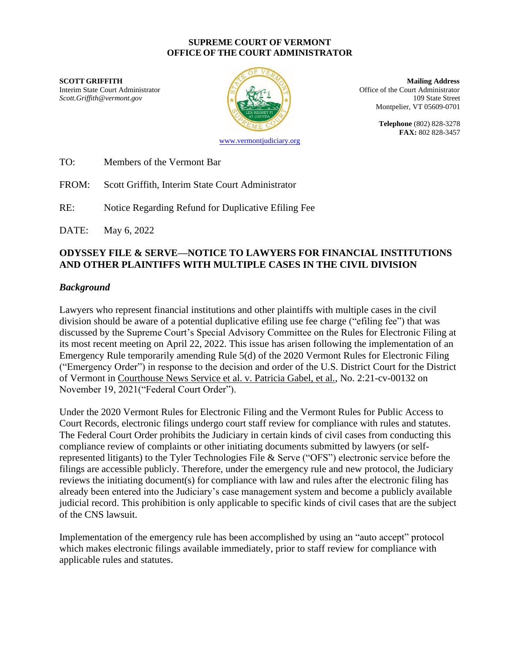#### **SUPREME COURT OF VERMONT OFFICE OF THE COURT ADMINISTRATOR**

**SCOTT GRIFFITH Mailing Address** Interim State Court Administrator **Interior Collection** Coffice of the Court Administrator *Scott.Griffith@vermont.gov* 109 State Street



Montpelier, VT 05609-0701

**Telephone** (802) 828-3278 **FAX:** 802 828-3457

[www.vermontjudiciary.org](http://www.vermontjudiciary.org/)

TO: Members of the Vermont Bar

FROM: Scott Griffith, Interim State Court Administrator

RE: Notice Regarding Refund for Duplicative Efiling Fee

DATE: May 6, 2022

## **ODYSSEY FILE & SERVE—NOTICE TO LAWYERS FOR FINANCIAL INSTITUTIONS AND OTHER PLAINTIFFS WITH MULTIPLE CASES IN THE CIVIL DIVISION**

### *Background*

Lawyers who represent financial institutions and other plaintiffs with multiple cases in the civil division should be aware of a potential duplicative efiling use fee charge ("efiling fee") that was discussed by the Supreme Court's Special Advisory Committee on the Rules for Electronic Filing at its most recent meeting on April 22, 2022. This issue has arisen following the implementation of an Emergency Rule temporarily amending Rule 5(d) of the 2020 Vermont Rules for Electronic Filing ("Emergency Order") in response to the decision and order of the U.S. District Court for the District of Vermont in Courthouse News Service et al. v. Patricia Gabel, et al., No. 2:21-cv-00132 on November 19, 2021("Federal Court Order").

Under the 2020 Vermont Rules for Electronic Filing and the Vermont Rules for Public Access to Court Records, electronic filings undergo court staff review for compliance with rules and statutes. The Federal Court Order prohibits the Judiciary in certain kinds of civil cases from conducting this compliance review of complaints or other initiating documents submitted by lawyers (or selfrepresented litigants) to the Tyler Technologies File & Serve ("OFS") electronic service before the filings are accessible publicly. Therefore, under the emergency rule and new protocol, the Judiciary reviews the initiating document(s) for compliance with law and rules after the electronic filing has already been entered into the Judiciary's case management system and become a publicly available judicial record. This prohibition is only applicable to specific kinds of civil cases that are the subject of the CNS lawsuit.

Implementation of the emergency rule has been accomplished by using an "auto accept" protocol which makes electronic filings available immediately, prior to staff review for compliance with applicable rules and statutes.